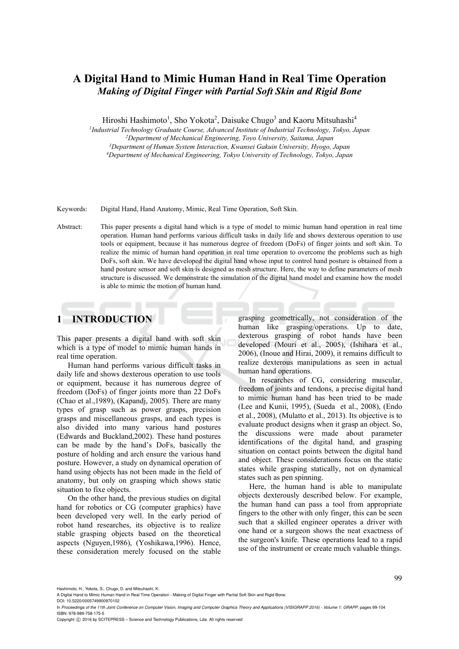# **A Digital Hand to Mimic Human Hand in Real Time Operation**  *Making of Digital Finger with Partial Soft Skin and Rigid Bone*

Hiroshi Hashimoto<sup>1</sup>, Sho Yokota<sup>2</sup>, Daisuke Chugo<sup>3</sup> and Kaoru Mitsuhashi<sup>4</sup>

*1Industrial Technology Graduate Course, Advanced Institute of Industrial Technology, Tokyo, Japan 2Department of Mechanical Engineering, Toyo University, Saitama, Japan 3 Department of Human System Interaction, Kwansei Gakuin University, Hyogo, Japan 4Department of Mechanical Engineering, Tokyo University of Technology, Tokyo, Japan* 

Keywords: Digital Hand, Hand Anatomy, Mimic, Real Time Operation, Soft Skin.

Abstract: This paper presents a digital hand which is a type of model to mimic human hand operation in real time operation. Human hand performs various difficult tasks in daily life and shows dexterous operation to use tools or equipment, because it has numerous degree of freedom (DoFs) of finger joints and soft skin. To realize the mimic of human hand operation in real time operation to overcome the problems such as high DoFs, soft skin. We have developed the digital hand whose input to control hand posture is obtained from a hand posture sensor and soft skin is designed as mesh structure. Here, the way to define parameters of mesh structure is discussed. We demonstrate the simulation of the digital hand model and examine how the model is able to mimic the motion of human hand.

## **1 INTRODUCTION**

This paper presents a digital hand with soft skin which is a type of model to mimic human hands in real time operation.

Human hand performs various difficult tasks in daily life and shows dexterous operation to use tools or equipment, because it has numerous degree of freedom (DoFs) of finger joints more than 22 DoFs (Chao et al.,1989), (Kapandj, 2005). There are many types of grasp such as power grasps, precision grasps and miscellaneous grasps, and each types is also divided into many various hand postures (Edwards and Buckland,2002). These hand postures can be made by the hand's DoFs, basically the posture of holding and arch ensure the various hand posture. However, a study on dynamical operation of hand using objects has not been made in the field of anatomy, but only on grasping which shows static situation to fixe objects.

On the other hand, the previous studies on digital hand for robotics or CG (computer graphics) have been developed very well. In the early period of robot hand researches, its objective is to realize stable grasping objects based on the theoretical aspects (Nguyen,1986), (Yoshikawa,1996). Hence, these consideration merely focused on the stable

grasping geometrically, not consideration of the human like grasping/operations. Up to date, dexterous grasping of robot hands have been developed (Mouri et al., 2005), (Ishihara et al., 2006), (Inoue and Hirai, 2009), it remains difficult to realize dexterous manipulations as seen in actual human hand operations.

In researches of CG, considering muscular, freedom of joints and tendons, a precise digital hand to mimic human hand has been tried to be made (Lee and Kunii, 1995), (Sueda et al., 2008), (Endo et al., 2008), (Mulatto et al., 2013). Its objective is to evaluate product designs when it grasp an object. So, the discussions were made about parameter identifications of the digital hand, and grasping situation on contact points between the digital hand and object. These considerations focus on the static states while grasping statically, not on dynamical states such as pen spinning.

Here, the human hand is able to manipulate objects dexterously described below. For example, the human hand can pass a tool from appropriate fingers to the other with only finger, this can be seen such that a skilled engineer operates a driver with one hand or a surgeon shows the neat exactness of the surgeon's knife. These operations lead to a rapid use of the instrument or create much valuable things.

Hashimoto, H., Yokota, S., Chugo, D. and Mitsuhashi, K.

DOI: 10.5220/0005749900970102

Copyright (C) 2016 by SCITEPRESS - Science and Technology Publications, Lda. All rights reserved

A Digital Hand to Mimic Human Hand in Real Time Operation - Making of Digital Finger with Partial Soft Skin and Rigid Bone.

In *Proceedings of the 11th Joint Conference on Computer Vision, Imaging and Computer Graphics Theory and Applications (VISIGRAPP 2016) - Volume 1: GRAPP*, pages 99-104 ISBN: 978-989-758-175-5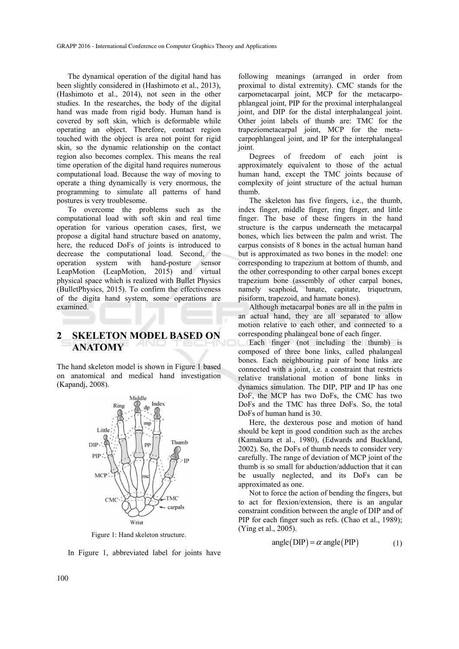The dynamical operation of the digital hand has been slightly considered in (Hashimoto et al., 2013), (Hashimoto et al., 2014), not seen in the other studies. In the researches, the body of the digital hand was made from rigid body. Human hand is covered by soft skin, which is deformable while operating an object. Therefore, contact region touched with the object is area not point for rigid skin, so the dynamic relationship on the contact region also becomes complex. This means the real time operation of the digital hand requires numerous computational load. Because the way of moving to operate a thing dynamically is very enormous, the programming to simulate all patterns of hand postures is very troublesome.

To overcome the problems such as the computational load with soft skin and real time operation for various operation cases, first, we propose a digital hand structure based on anatomy, here, the reduced DoFs of joints is introduced to decrease the computational load. Second, the operation system with hand-posture sensor LeapMotion (LeapMotion, 2015) and virtual physical space which is realized with Bullet Physics (BulletPhysics, 2015). To confirm the effectiveness of the digita hand system, some operations are examined.

# **2 SKELETON MODEL BASED ON ANATOMY**

The hand skeleton model is shown in Figure 1 based on anatomical and medical hand investigation (Kapandj, 2008).



Figure 1: Hand skeleton structure.

In Figure 1, abbreviated label for joints have

following meanings (arranged in order from proximal to distal extremity). CMC stands for the carpometacarpal joint, MCP for the metacarpophlangeal joint, PIP for the proximal interphalangeal joint, and DIP for the distal interphalangeal joint. Other joint labels of thumb are: TMC for the trapeziometacarpal joint, MCP for the metacarpophlangeal joint, and IP for the interphalangeal joint.

Degrees of freedom of each joint is approximately equivalent to those of the actual human hand, except the TMC joints because of complexity of joint structure of the actual human thumb.

The skeleton has five fingers, i.e., the thumb, index finger, middle finger, ring finger, and little finger. The base of these fingers in the hand structure is the carpus underneath the metacarpal bones, which lies between the palm and wrist. The carpus consists of 8 bones in the actual human hand but is approximated as two bones in the model: one corresponding to trapezium at bottom of thumb, and the other corresponding to other carpal bones except trapezium bone (assembly of other carpal bones, namely scaphoid, lunate, capitate, triquetrum, pisiform, trapezoid, and hamate bones).

Although metacarpal bones are all in the palm in an actual hand, they are all separated to allow motion relative to each other, and connected to a corresponding phalangeal bone of each finger.

Each finger (not including the thumb) is composed of three bone links, called phalangeal bones. Each neighbouring pair of bone links are connected with a joint, i.e. a constraint that restricts relative translational motion of bone links in dynamics simulation. The DIP, PIP and IP has one DoF, the MCP has two DoFs, the CMC has two DoFs and the TMC has three DoFs. So, the total DoFs of human hand is 30.

Here, the dexterous pose and motion of hand should be kept in good condition such as the arches (Kamakura et al., 1980), (Edwards and Buckland, 2002). So, the DoFs of thumb needs to consider very carefully. The range of deviation of MCP joint of the thumb is so small for abduction/adduction that it can be usually neglected, and its DoFs can be approximated as one.

Not to force the action of bending the fingers, but to act for flexion/extension, there is an angular constraint condition between the angle of DIP and of PIP for each finger such as refs. (Chao et al., 1989); (Ying et al., 2005).

$$
angle(DIP) = \alpha angle(PIP)
$$
 (1)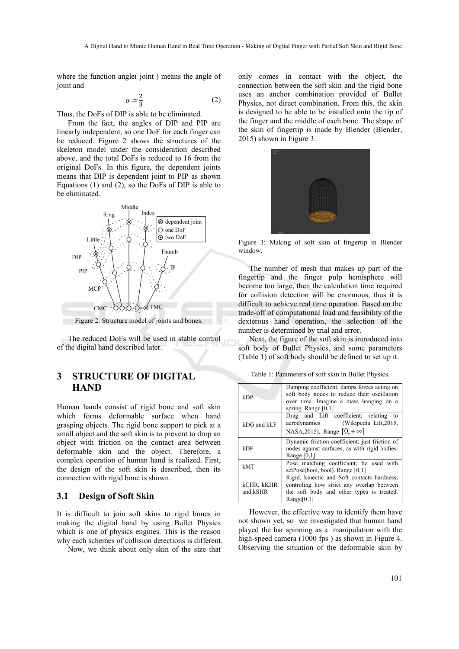where the function angle( joint) means the angle of joint and

$$
a \simeq \frac{2}{3} \tag{2}
$$

Thus, the DoFs of DIP is able to be eliminated.

From the fact, the angles of DIP and PIP are linearly independent, so one DoF for each finger can be reduced. Figure 2 shows the structures of the skeleton model under the consideration described above, and the total DoFs is reduced to 16 from the original DoFs. In this figure, the dependent joints means that DIP is dependent joint to PIP as shown Equations (1) and (2), so the DoFs of DIP is able to be eliminated.



Figure 2: Structure model of joints and bones.

The reduced DoFs will be used in stable control of the digital hand described later.

# **3 STRUCTURE OF DIGITAL HAND**

Human hands consist of rigid bone and soft skin which forms deformable surface when hand grasping objects. The rigid bone support to pick at a small object and the soft skin is to prevent to drop an object with friction on the contact area between deformable skin and the object. Therefore, a complex operation of human hand is realized. First, the design of the soft skin is described, then its connection with rigid bone is shown.

#### **3.1 Design of Soft Skin**

It is difficult to join soft skins to rigid bones in making the digital hand by using Bullet Physics which is one of physics engines. This is the reason why each schemes of collision detections is different.

Now, we think about only skin of the size that

only comes in contact with the object, the connection between the soft skin and the rigid bone uses an anchor combination provided of Bullet Physics, not direct combination. From this, the skin is designed to be able to be installed onto the tip of the finger and the middle of each bone. The shape of the skin of fingertip is made by Blender (Blender, 2015) shown in Figure 3.



Figure 3: Making of soft skin of fingertip in Blender window.

The number of mesh that makes up part of the fingertip and the finger pulp hemisphere will become too large, then the calculation time required for collision detection will be enormous, thus it is difficult to achieve real time operation. Based on the trade-off of computational load and feasibility of the dexterous hand operation, the selection of the number is determined by trial and error.

Next, the figure of the soft skin is introduced into soft body of Bullet Physics, and some parameters (Table 1) of soft body should be defined to set up it.

| kDP         | Damping coefficient; damps forces acting on<br>soft body nodes to reduce their oscillation<br>over time. Imagine a mass hanging on a<br>spring. Range $[0,1]$ |
|-------------|---------------------------------------------------------------------------------------------------------------------------------------------------------------|
| kDG and kLF | Drag and Lift coefficient; relating to<br>(Wikipedia Lift, 2015,<br>aerodynamics<br>NASA, 2015), Range $[0, +\infty]$                                         |
| kDF         | Dynamic friction coefficient; just friction of<br>nodes against surfaces, as with rigid bodies.                                                               |

kMT Pose matching coefficient; be used with setPose(bool, bool). Range [0,1]

Rigid, kinectic and Soft contacts hardness; controling how strict any overlap between the soft body and other types is treated.

Range [0,1]

Range[0,1]

kCHR, kKHR and kSHR

| Table 1: Parameters of soft skin in Bullet Physics. |  |  |  |  |  |
|-----------------------------------------------------|--|--|--|--|--|
|-----------------------------------------------------|--|--|--|--|--|

However, the effective way to identify them have not shown yet, so we investigated that human hand played the bar spinning as a manipulation with the high-speed camera (1000 fps) as shown in Figure 4. Observing the situation of the deformable skin by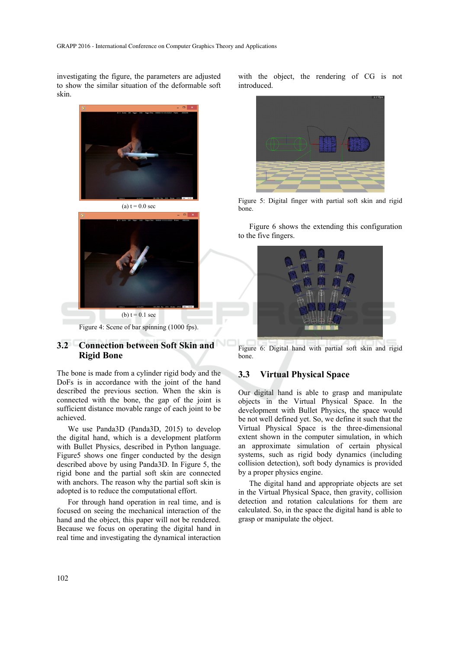investigating the figure, the parameters are adjusted to show the similar situation of the deformable soft skin.



Figure 4: Scene of bar spinning (1000 fps).

#### **3.2 Connection between Soft Skin and Rigid Bone**

The bone is made from a cylinder rigid body and the DoFs is in accordance with the joint of the hand described the previous section. When the skin is connected with the bone, the gap of the joint is sufficient distance movable range of each joint to be achieved.

We use Panda3D (Panda3D, 2015) to develop the digital hand, which is a development platform with Bullet Physics, described in Python language. Figure5 shows one finger conducted by the design described above by using Panda3D. In Figure 5, the rigid bone and the partial soft skin are connected with anchors. The reason why the partial soft skin is adopted is to reduce the computational effort.

For through hand operation in real time, and is focused on seeing the mechanical interaction of the hand and the object, this paper will not be rendered. Because we focus on operating the digital hand in real time and investigating the dynamical interaction

with the object, the rendering of CG is not introduced.



Figure 5: Digital finger with partial soft skin and rigid bone.

Figure 6 shows the extending this configuration to the five fingers.



Figure 6: Digital hand with partial soft skin and rigid bone.

### **3.3 Virtual Physical Space**

Our digital hand is able to grasp and manipulate objects in the Virtual Physical Space. In the development with Bullet Physics, the space would be not well defined yet. So, we define it such that the Virtual Physical Space is the three-dimensional extent shown in the computer simulation, in which an approximate simulation of certain physical systems, such as rigid body dynamics (including collision detection), soft body dynamics is provided by a proper physics engine.

The digital hand and appropriate objects are set in the Virtual Physical Space, then gravity, collision detection and rotation calculations for them are calculated. So, in the space the digital hand is able to grasp or manipulate the object.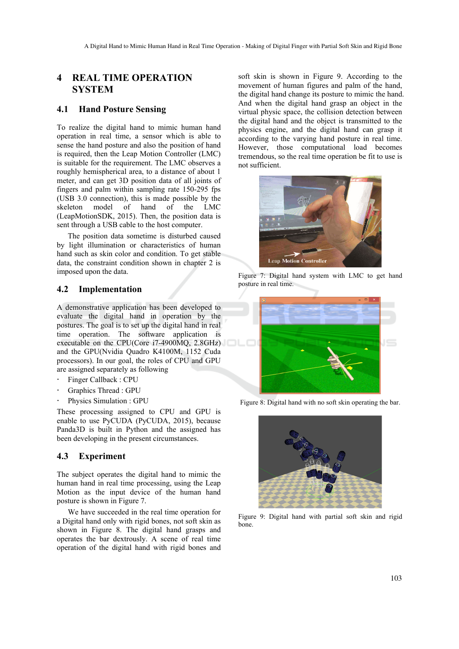## **4 REAL TIME OPERATION SYSTEM**

#### **4.1 Hand Posture Sensing**

To realize the digital hand to mimic human hand operation in real time, a sensor which is able to sense the hand posture and also the position of hand is required, then the Leap Motion Controller (LMC) is suitable for the requirement. The LMC observes a roughly hemispherical area, to a distance of about 1 meter, and can get 3D position data of all joints of fingers and palm within sampling rate 150-295 fps (USB 3.0 connection), this is made possible by the skeleton model of hand of the LMC (LeapMotionSDK, 2015). Then, the position data is sent through a USB cable to the host computer.

The position data sometime is disturbed caused by light illumination or characteristics of human hand such as skin color and condition. To get stable data, the constraint condition shown in chapter 2 is imposed upon the data.

#### **4.2 Implementation**

A demonstrative application has been developed to evaluate the digital hand in operation by the postures. The goal is to set up the digital hand in real time operation. The software application is executable on the CPU(Core i7-4900MQ, 2.8GHz) and the GPU(Nvidia Quadro K4100M, 1152 Cuda processors). In our goal, the roles of CPU and GPU are assigned separately as following

- Finger Callback : CPU
- Graphics Thread : GPU
- Physics Simulation : GPU

These processing assigned to CPU and GPU is enable to use PyCUDA (PyCUDA, 2015), because Panda3D is built in Python and the assigned has been developing in the present circumstances.

#### **4.3 Experiment**

The subject operates the digital hand to mimic the human hand in real time processing, using the Leap Motion as the input device of the human hand posture is shown in Figure 7.

We have succeeded in the real time operation for a Digital hand only with rigid bones, not soft skin as shown in Figure 8. The digital hand grasps and operates the bar dextrously. A scene of real time operation of the digital hand with rigid bones and soft skin is shown in Figure 9. According to the movement of human figures and palm of the hand, the digital hand change its posture to mimic the hand. And when the digital hand grasp an object in the virtual physic space, the collision detection between the digital hand and the object is transmitted to the physics engine, and the digital hand can grasp it according to the varying hand posture in real time. However, those computational load becomes tremendous, so the real time operation be fit to use is not sufficient.



Figure 7: Digital hand system with LMC to get hand posture in real time.



Figure 8: Digital hand with no soft skin operating the bar.



Figure 9: Digital hand with partial soft skin and rigid bone.